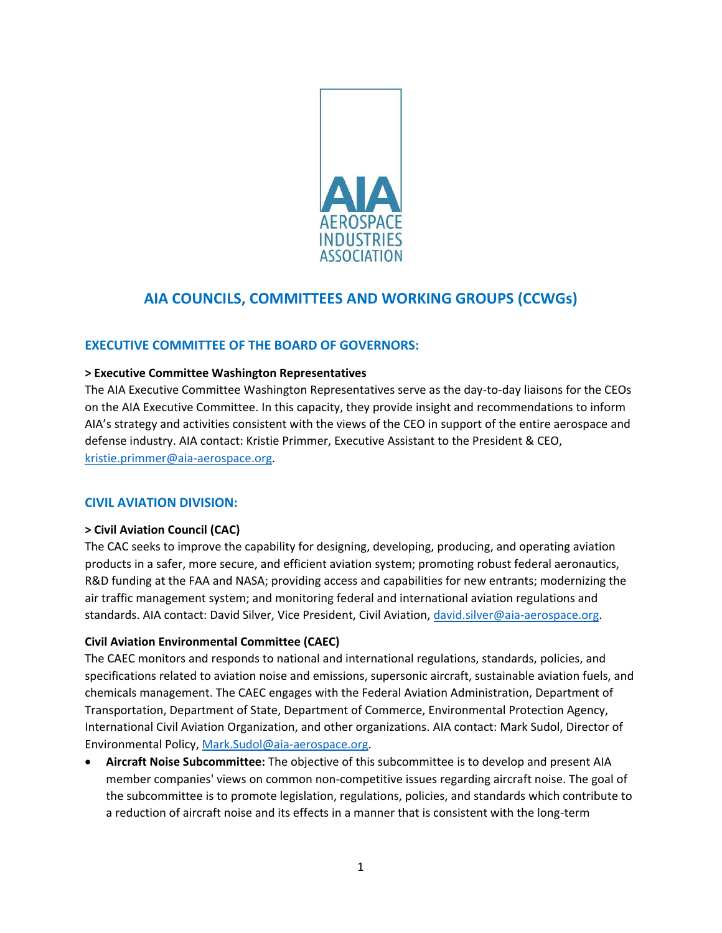

# **AIA COUNCILS, COMMITTEES AND WORKING GROUPS (CCWGs)**

# **EXECUTIVE COMMITTEE OF THE BOARD OF GOVERNORS:**

#### **> Executive Committee Washington Representatives**

The AIA Executive Committee Washington Representatives serve as the day-to-day liaisons for the CEOs on the AIA Executive Committee. In this capacity, they provide insight and recommendations to inform AIA's strategy and activities consistent with the views of the CEO in support of the entire aerospace and defense industry. AIA contact: Kristie Primmer, Executive Assistant to the President & CEO, [kristie.primmer@aia-aerospace.org.](mailto:kristie.primmer@aia-aerospace.org)

# **CIVIL AVIATION DIVISION:**

# **> Civil Aviation Council (CAC)**

The CAC seeks to improve the capability for designing, developing, producing, and operating aviation products in a safer, more secure, and efficient aviation system; promoting robust federal aeronautics, R&D funding at the FAA and NASA; providing access and capabilities for new entrants; modernizing the air traffic management system; and monitoring federal and international aviation regulations and standards. AIA contact: David Silver, Vice President, Civil Aviation, [david.silver@aia-aerospace.org.](mailto:david.silver@aia-aerospace.org)

# **Civil Aviation Environmental Committee (CAEC)**

The CAEC monitors and responds to national and international regulations, standards, policies, and specifications related to aviation noise and emissions, supersonic aircraft, sustainable aviation fuels, and chemicals management. The CAEC engages with the Federal Aviation Administration, Department of Transportation, Department of State, Department of Commerce, Environmental Protection Agency, International Civil Aviation Organization, and other organizations. AIA contact: Mark Sudol, Director of Environmental Policy, [Mark.Sudol@aia-aerospace.org.](mailto:Mark.Sudol@aia-aerospace.org)

• **Aircraft Noise Subcommittee:** The objective of this subcommittee is to develop and present AIA member companies' views on common non-competitive issues regarding aircraft noise. The goal of the subcommittee is to promote legislation, regulations, policies, and standards which contribute to a reduction of aircraft noise and its effects in a manner that is consistent with the long-term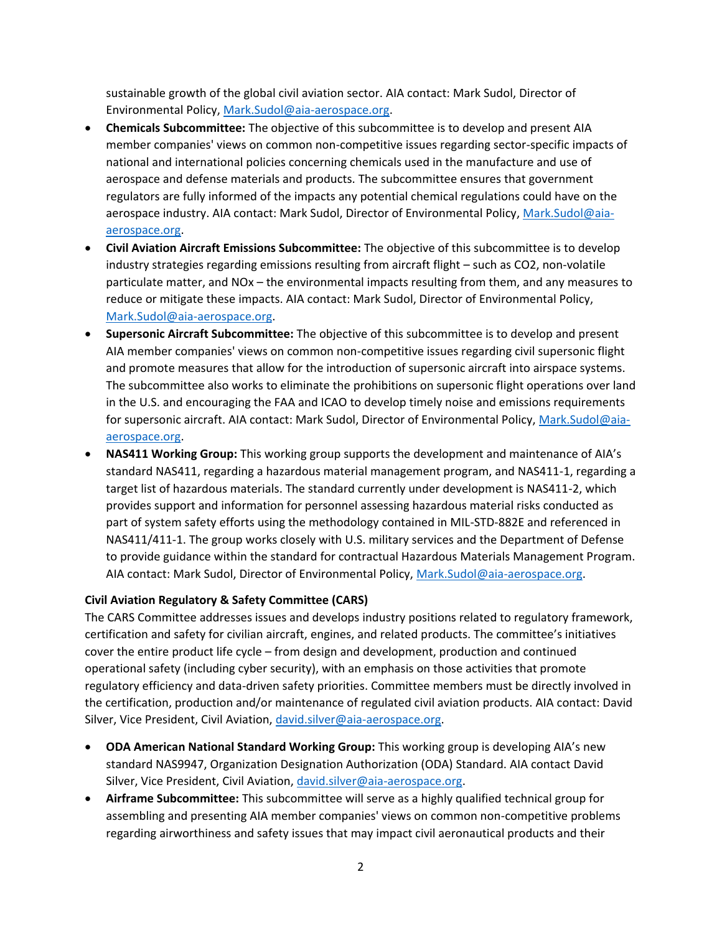sustainable growth of the global civil aviation sector. AIA contact: Mark Sudol, Director of Environmental Policy, [Mark.Sudol@aia-aerospace.org.](mailto:Mark.Sudol@aia-aerospace.org)

- **Chemicals Subcommittee:** The objective of this subcommittee is to develop and present AIA member companies' views on common non-competitive issues regarding sector-specific impacts of national and international policies concerning chemicals used in the manufacture and use of aerospace and defense materials and products. The subcommittee ensures that government regulators are fully informed of the impacts any potential chemical regulations could have on the aerospace industry. AIA contact: Mark Sudol, Director of Environmental Policy, [Mark.Sudol@aia](mailto:Mark.Sudol@aia-aerospace.org)[aerospace.org.](mailto:Mark.Sudol@aia-aerospace.org)
- **Civil Aviation Aircraft Emissions Subcommittee:** The objective of this subcommittee is to develop industry strategies regarding emissions resulting from aircraft flight – such as CO2, non-volatile particulate matter, and NOx – the environmental impacts resulting from them, and any measures to reduce or mitigate these impacts. AIA contact: Mark Sudol, Director of Environmental Policy, [Mark.Sudol@aia-aerospace.org.](mailto:Mark.Sudol@aia-aerospace.org)
- **Supersonic Aircraft Subcommittee:** The objective of this subcommittee is to develop and present AIA member companies' views on common non-competitive issues regarding civil supersonic flight and promote measures that allow for the introduction of supersonic aircraft into airspace systems. The subcommittee also works to eliminate the prohibitions on supersonic flight operations over land in the U.S. and encouraging the FAA and ICAO to develop timely noise and emissions requirements for supersonic aircraft. AIA contact: Mark Sudol, Director of Environmental Policy, [Mark.Sudol@aia](mailto:Mark.Sudol@aia-aerospace.org)[aerospace.org.](mailto:Mark.Sudol@aia-aerospace.org)
- **NAS411 Working Group:** This working group supports the development and maintenance of AIA's standard NAS411, regarding a hazardous material management program, and NAS411-1, regarding a target list of hazardous materials. The standard currently under development is NAS411-2, which provides support and information for personnel assessing hazardous material risks conducted as part of system safety efforts using the methodology contained in MIL-STD-882E and referenced in NAS411/411-1. The group works closely with U.S. military services and the Department of Defense to provide guidance within the standard for contractual Hazardous Materials Management Program. AIA contact: Mark Sudol, Director of Environmental Policy, [Mark.Sudol@aia-aerospace.org.](mailto:Mark.Sudol@aia-aerospace.org)

# **Civil Aviation Regulatory & Safety Committee (CARS)**

The CARS Committee addresses issues and develops industry positions related to regulatory framework, certification and safety for civilian aircraft, engines, and related products. The committee's initiatives cover the entire product life cycle – from design and development, production and continued operational safety (including cyber security), with an emphasis on those activities that promote regulatory efficiency and data-driven safety priorities. Committee members must be directly involved in the certification, production and/or maintenance of regulated civil aviation products. AIA contact: David Silver, Vice President, Civil Aviation, [david.silver@aia-aerospace.org.](mailto:david.silver@aia-aerospace.org)

- **ODA American National Standard Working Group:** This working group is developing AIA's new standard NAS9947, Organization Designation Authorization (ODA) Standard. AIA contact David Silver, Vice President, Civil Aviation, [david.silver@aia-aerospace.org.](mailto:david.silver@aia-aerospace.org)
- **Airframe Subcommittee:** This subcommittee will serve as a highly qualified technical group for assembling and presenting AIA member companies' views on common non-competitive problems regarding airworthiness and safety issues that may impact civil aeronautical products and their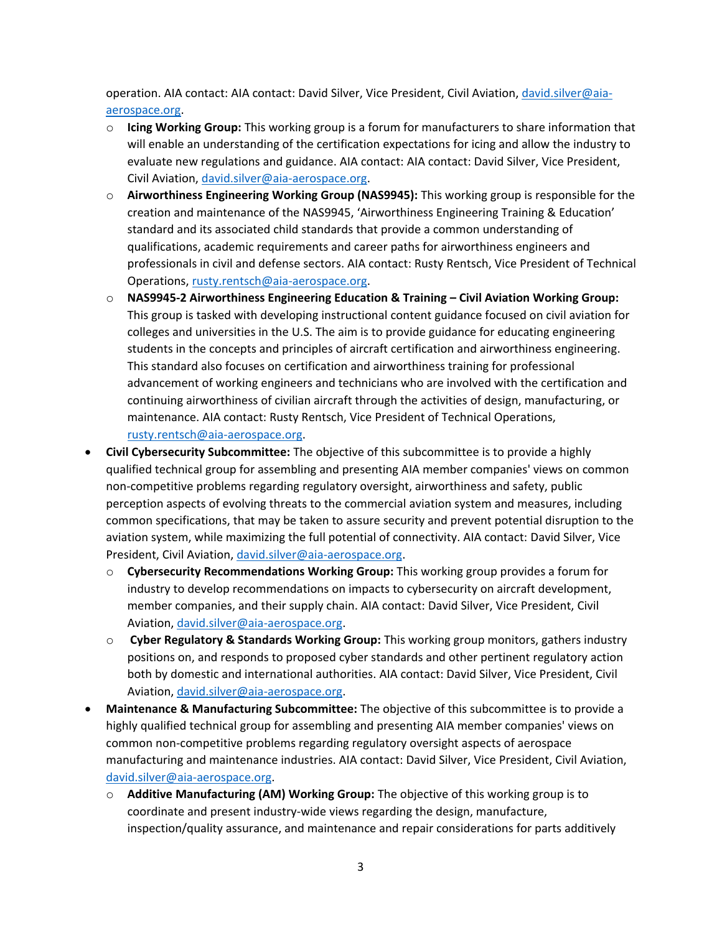operation. AIA contact: AIA contact: David Silver, Vice President, Civil Aviation[, david.silver@aia](mailto:david.silver@aia-aerospace.org)[aerospace.org.](mailto:david.silver@aia-aerospace.org)

- o **Icing Working Group:** This working group is a forum for manufacturers to share information that will enable an understanding of the certification expectations for icing and allow the industry to evaluate new regulations and guidance. AIA contact: AIA contact: David Silver, Vice President, Civil Aviation, [david.silver@aia-aerospace.org.](mailto:david.silver@aia-aerospace.org)
- o **Airworthiness Engineering Working Group (NAS9945):** This working group is responsible for the creation and maintenance of the NAS9945, 'Airworthiness Engineering Training & Education' standard and its associated child standards that provide a common understanding of qualifications, academic requirements and career paths for airworthiness engineers and professionals in civil and defense sectors. AIA contact: Rusty Rentsch, Vice President of Technical Operations, [rusty.rentsch@aia-aerospace.org.](mailto:rusty.rentsch@aia-aerospace.org)
- o **NAS9945-2 Airworthiness Engineering Education & Training – Civil Aviation Working Group:**  This group is tasked with developing instructional content guidance focused on civil aviation for colleges and universities in the U.S. The aim is to provide guidance for educating engineering students in the concepts and principles of aircraft certification and airworthiness engineering. This standard also focuses on certification and airworthiness training for professional advancement of working engineers and technicians who are involved with the certification and continuing airworthiness of civilian aircraft through the activities of design, manufacturing, or maintenance. AIA contact: Rusty Rentsch, Vice President of Technical Operations, [rusty.rentsch@aia-aerospace.org.](mailto:rusty.rentsch@aia-aerospace.org)
- **Civil Cybersecurity Subcommittee:** The objective of this subcommittee is to provide a highly qualified technical group for assembling and presenting AIA member companies' views on common non-competitive problems regarding regulatory oversight, airworthiness and safety, public perception aspects of evolving threats to the commercial aviation system and measures, including common specifications, that may be taken to assure security and prevent potential disruption to the aviation system, while maximizing the full potential of connectivity. AIA contact: David Silver, Vice President, Civil Aviation, [david.silver@aia-aerospace.org.](mailto:david.silver@aia-aerospace.org)
	- o **Cybersecurity Recommendations Working Group:** This working group provides a forum for industry to develop recommendations on impacts to cybersecurity on aircraft development, member companies, and their supply chain. AIA contact: David Silver, Vice President, Civil Aviation, [david.silver@aia-aerospace.org.](mailto:david.silver@aia-aerospace.org)
	- o **Cyber Regulatory & Standards Working Group:** This working group monitors, gathers industry positions on, and responds to proposed cyber standards and other pertinent regulatory action both by domestic and international authorities. AIA contact: David Silver, Vice President, Civil Aviation, [david.silver@aia-aerospace.org.](mailto:david.silver@aia-aerospace.org)
- **Maintenance & Manufacturing Subcommittee:** The objective of this subcommittee is to provide a highly qualified technical group for assembling and presenting AIA member companies' views on common non-competitive problems regarding regulatory oversight aspects of aerospace manufacturing and maintenance industries. AIA contact: David Silver, Vice President, Civil Aviation, [david.silver@aia-aerospace.org.](mailto:david.silver@aia-aerospace.org)
	- o **Additive Manufacturing (AM) Working Group:** The objective of this working group is to coordinate and present industry-wide views regarding the design, manufacture, inspection/quality assurance, and maintenance and repair considerations for parts additively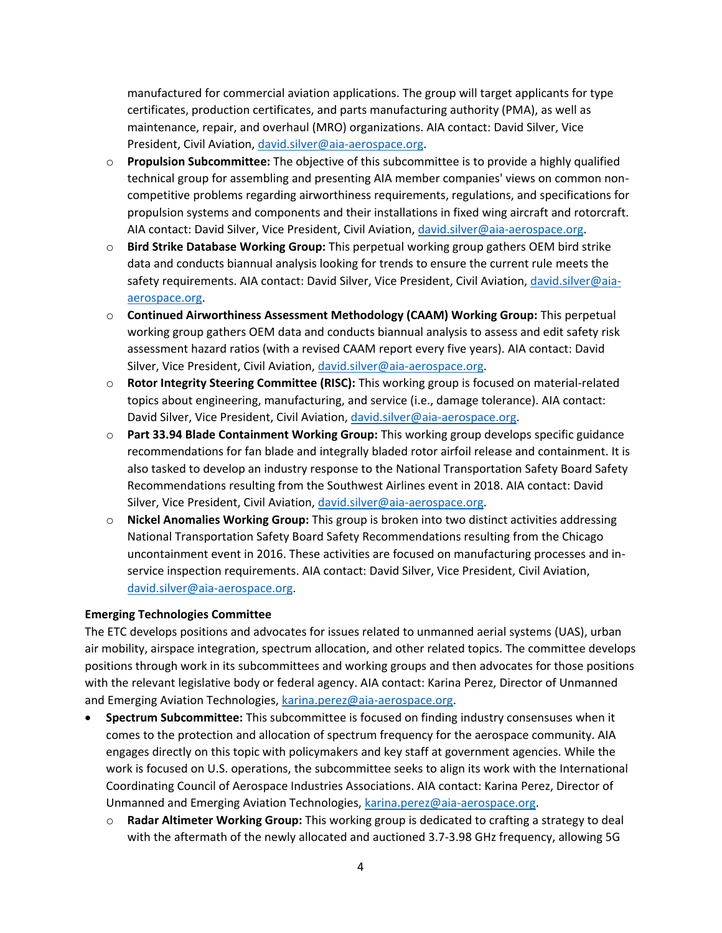manufactured for commercial aviation applications. The group will target applicants for type certificates, production certificates, and parts manufacturing authority (PMA), as well as maintenance, repair, and overhaul (MRO) organizations. AIA contact: David Silver, Vice President, Civil Aviation, [david.silver@aia-aerospace.org.](mailto:david.silver@aia-aerospace.org)

- o **Propulsion Subcommittee:** The objective of this subcommittee is to provide a highly qualified technical group for assembling and presenting AIA member companies' views on common noncompetitive problems regarding airworthiness requirements, regulations, and specifications for propulsion systems and components and their installations in fixed wing aircraft and rotorcraft. AIA contact: David Silver, Vice President, Civil Aviation[, david.silver@aia-aerospace.org.](mailto:david.silver@aia-aerospace.org)
- o **Bird Strike Database Working Group:** This perpetual working group gathers OEM bird strike data and conducts biannual analysis looking for trends to ensure the current rule meets the safety requirements. AIA contact: David Silver, Vice President, Civil Aviation, [david.silver@aia](mailto:david.silver@aia-aerospace.org)[aerospace.org.](mailto:david.silver@aia-aerospace.org)
- o **Continued Airworthiness Assessment Methodology (CAAM) Working Group:** This perpetual working group gathers OEM data and conducts biannual analysis to assess and edit safety risk assessment hazard ratios (with a revised CAAM report every five years). AIA contact: David Silver, Vice President, Civil Aviation, [david.silver@aia-aerospace.org.](mailto:david.silver@aia-aerospace.org)
- o **Rotor Integrity Steering Committee (RISC):** This working group is focused on material-related topics about engineering, manufacturing, and service (i.e., damage tolerance). AIA contact: David Silver, Vice President, Civil Aviation[, david.silver@aia-aerospace.org.](mailto:david.silver@aia-aerospace.org)
- o **Part 33.94 Blade Containment Working Group:** This working group develops specific guidance recommendations for fan blade and integrally bladed rotor airfoil release and containment. It is also tasked to develop an industry response to the National Transportation Safety Board Safety Recommendations resulting from the Southwest Airlines event in 2018. AIA contact: David Silver, Vice President, Civil Aviation, [david.silver@aia-aerospace.org.](mailto:david.silver@aia-aerospace.org)
- o **Nickel Anomalies Working Group:** This group is broken into two distinct activities addressing National Transportation Safety Board Safety Recommendations resulting from the Chicago uncontainment event in 2016. These activities are focused on manufacturing processes and inservice inspection requirements. AIA contact: David Silver, Vice President, Civil Aviation, [david.silver@aia-aerospace.org.](mailto:david.silver@aia-aerospace.org)

# **Emerging Technologies Committee**

The ETC develops positions and advocates for issues related to unmanned aerial systems (UAS), urban air mobility, airspace integration, spectrum allocation, and other related topics. The committee develops positions through work in its subcommittees and working groups and then advocates for those positions with the relevant legislative body or federal agency. AIA contact: Karina Perez, Director of Unmanned and Emerging Aviation Technologies, [karina.perez@aia-aerospace.org.](mailto:karina.perez@aia-aerospace.org)

- **Spectrum Subcommittee:** This subcommittee is focused on finding industry consensuses when it comes to the protection and allocation of spectrum frequency for the aerospace community. AIA engages directly on this topic with policymakers and key staff at government agencies. While the work is focused on U.S. operations, the subcommittee seeks to align its work with the International Coordinating Council of Aerospace Industries Associations. AIA contact: Karina Perez, Director of Unmanned and Emerging Aviation Technologies, [karina.perez@aia-aerospace.org.](mailto:karina.perez@aia-aerospace.org)
	- o **Radar Altimeter Working Group:** This working group is dedicated to crafting a strategy to deal with the aftermath of the newly allocated and auctioned 3.7-3.98 GHz frequency, allowing 5G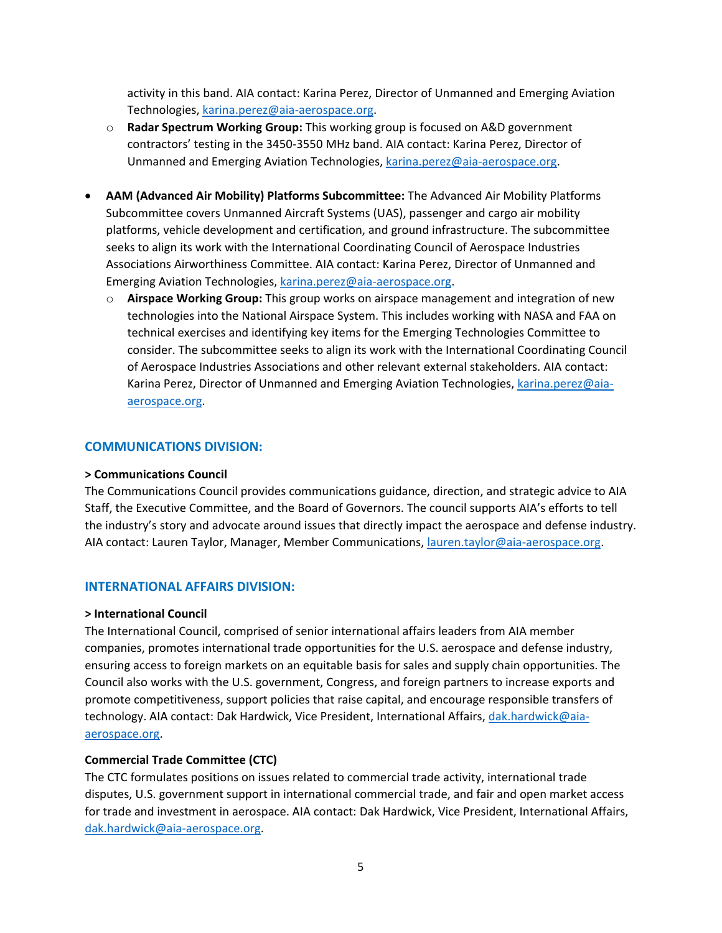activity in this band. AIA contact: Karina Perez, Director of Unmanned and Emerging Aviation Technologies, [karina.perez@aia-aerospace.org.](mailto:karina.perez@aia-aerospace.org)

- o **Radar Spectrum Working Group:** This working group is focused on A&D government contractors' testing in the 3450-3550 MHz band. AIA contact: Karina Perez, Director of Unmanned and Emerging Aviation Technologies, [karina.perez@aia-aerospace.org.](mailto:karina.perez@aia-aerospace.org)
- **AAM (Advanced Air Mobility) Platforms Subcommittee:** The Advanced Air Mobility Platforms Subcommittee covers Unmanned Aircraft Systems (UAS), passenger and cargo air mobility platforms, vehicle development and certification, and ground infrastructure. The subcommittee seeks to align its work with the International Coordinating Council of Aerospace Industries Associations Airworthiness Committee. AIA contact: Karina Perez, Director of Unmanned and Emerging Aviation Technologies, [karina.perez@aia-aerospace.org.](mailto:karina.perez@aia-aerospace.org)
	- o **Airspace Working Group:** This group works on airspace management and integration of new technologies into the National Airspace System. This includes working with NASA and FAA on technical exercises and identifying key items for the Emerging Technologies Committee to consider. The subcommittee seeks to align its work with the International Coordinating Council of Aerospace Industries Associations and other relevant external stakeholders. AIA contact: Karina Perez, Director of Unmanned and Emerging Aviation Technologies, [karina.perez@aia](mailto:karina.perez@aia-aerospace.org)[aerospace.org.](mailto:karina.perez@aia-aerospace.org)

# **COMMUNICATIONS DIVISION:**

#### **> Communications Council**

The Communications Council provides communications guidance, direction, and strategic advice to AIA Staff, the Executive Committee, and the Board of Governors. The council supports AIA's efforts to tell the industry's story and advocate around issues that directly impact the aerospace and defense industry. AIA contact: Lauren Taylor, Manager, Member Communications, [lauren.taylor@aia-aerospace.org.](mailto:lauren.taylor@aia-aerospace.org)

# **INTERNATIONAL AFFAIRS DIVISION:**

#### **> International Council**

The International Council, comprised of senior international affairs leaders from AIA member companies, promotes international trade opportunities for the U.S. aerospace and defense industry, ensuring access to foreign markets on an equitable basis for sales and supply chain opportunities. The Council also works with the U.S. government, Congress, and foreign partners to increase exports and promote competitiveness, support policies that raise capital, and encourage responsible transfers of technology. AIA contact: Dak Hardwick, Vice President, International Affairs, [dak.hardwick@aia](mailto:dak.hardwick@aia-aerospace.org)[aerospace.org.](mailto:dak.hardwick@aia-aerospace.org)

# **Commercial Trade Committee (CTC)**

The CTC formulates positions on issues related to commercial trade activity, international trade disputes, U.S. government support in international commercial trade, and fair and open market access for trade and investment in aerospace. AIA contact: Dak Hardwick, Vice President, International Affairs, [dak.hardwick@aia-aerospace.org.](mailto:dak.hardwick@aia-aerospace.org)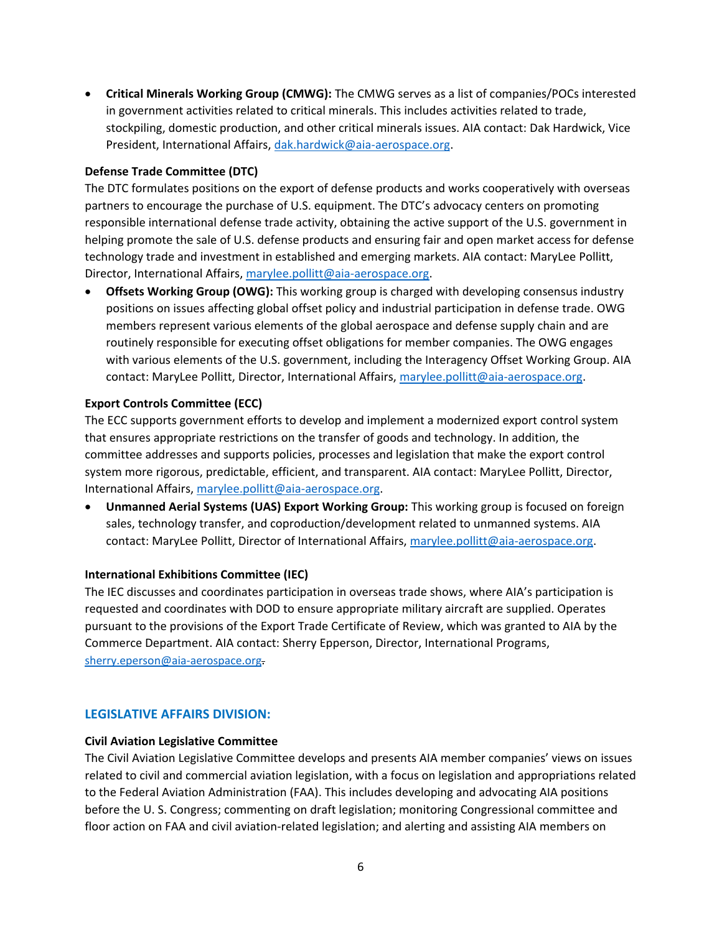• **Critical Minerals Working Group (CMWG):** The CMWG serves as a list of companies/POCs interested in government activities related to critical minerals. This includes activities related to trade, stockpiling, domestic production, and other critical minerals issues. AIA contact: Dak Hardwick, Vice President, International Affairs[, dak.hardwick@aia-aerospace.org.](mailto:dak.hardwick@aia-aerospace.org)

# **Defense Trade Committee (DTC)**

The DTC formulates positions on the export of defense products and works cooperatively with overseas partners to encourage the purchase of U.S. equipment. The DTC's advocacy centers on promoting responsible international defense trade activity, obtaining the active support of the U.S. government in helping promote the sale of U.S. defense products and ensuring fair and open market access for defense technology trade and investment in established and emerging markets. AIA contact: MaryLee Pollitt, Director, International Affairs[, marylee.pollitt@aia-aerospace.org.](mailto:marylee.pollitt@aia-aerospace.org)

• **Offsets Working Group (OWG):** This working group is charged with developing consensus industry positions on issues affecting global offset policy and industrial participation in defense trade. OWG members represent various elements of the global aerospace and defense supply chain and are routinely responsible for executing offset obligations for member companies. The OWG engages with various elements of the U.S. government, including the Interagency Offset Working Group. AIA contact: MaryLee Pollitt, Director, International Affairs, [marylee.pollitt@aia-aerospace.org.](mailto:marylee.pollitt@aia-aerospace.org)

# **Export Controls Committee (ECC)**

The ECC supports government efforts to develop and implement a modernized export control system that ensures appropriate restrictions on the transfer of goods and technology. In addition, the committee addresses and supports policies, processes and legislation that make the export control system more rigorous, predictable, efficient, and transparent. AIA contact: MaryLee Pollitt, Director, International Affairs, [marylee.pollitt@aia-aerospace.org.](mailto:marylee.pollitt@aia-aerospace.org)

• **Unmanned Aerial Systems (UAS) Export Working Group:** This working group is focused on foreign sales, technology transfer, and coproduction/development related to unmanned systems. AIA contact: MaryLee Pollitt, Director of International Affairs, [marylee.pollitt@aia-aerospace.org.](mailto:marylee.pollitt@aia-aerospace.org)

# **International Exhibitions Committee (IEC)**

The IEC discusses and coordinates participation in overseas trade shows, where AIA's participation is requested and coordinates with DOD to ensure appropriate military aircraft are supplied. Operates pursuant to the provisions of the Export Trade Certificate of Review, which was granted to AIA by the Commerce Department. AIA contact: Sherry Epperson, Director, International Programs, [sherry.eperson@aia-aerospace.org](mailto:sherry.eperson@aia-aerospace.org).

# **LEGISLATIVE AFFAIRS DIVISION:**

# **Civil Aviation Legislative Committee**

The Civil Aviation Legislative Committee develops and presents AIA member companies' views on issues related to civil and commercial aviation legislation, with a focus on legislation and appropriations related to the Federal Aviation Administration (FAA). This includes developing and advocating AIA positions before the U. S. Congress; commenting on draft legislation; monitoring Congressional committee and floor action on FAA and civil aviation-related legislation; and alerting and assisting AIA members on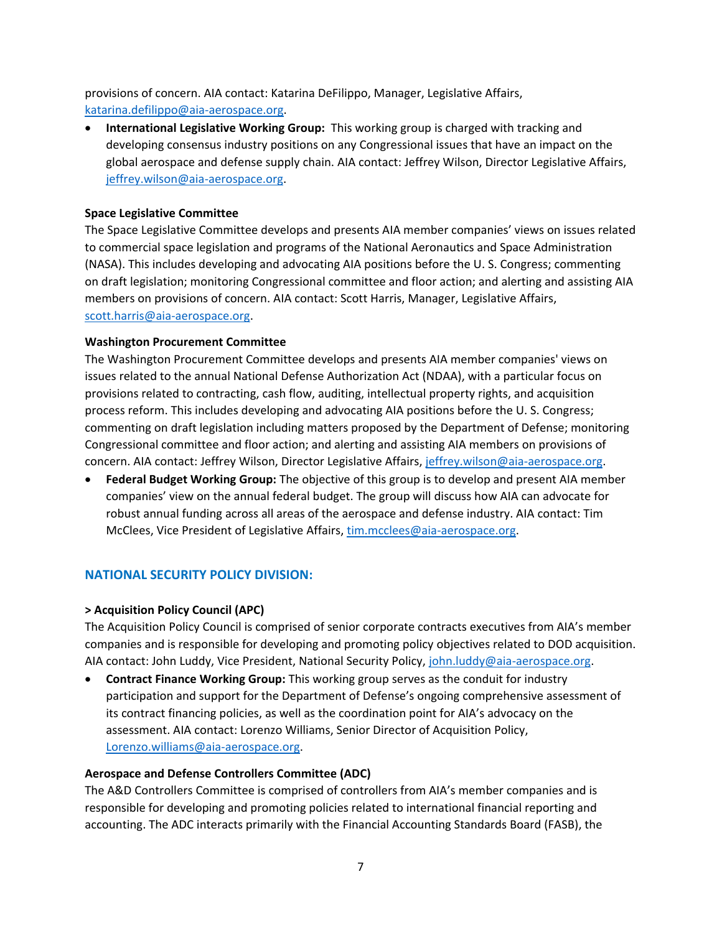provisions of concern. AIA contact: Katarina DeFilippo, Manager, Legislative Affairs, [katarina.defilippo@aia-aerospace.org.](mailto:katarina.defilippo@aia-aerospace.org)

• **International Legislative Working Group:** This working group is charged with tracking and developing consensus industry positions on any Congressional issues that have an impact on the global aerospace and defense supply chain. AIA contact: Jeffrey Wilson, Director Legislative Affairs, [jeffrey.wilson@aia-aerospace.org.](mailto:jeffrey.wilson@aia-aerospace.org)

# **Space Legislative Committee**

The Space Legislative Committee develops and presents AIA member companies' views on issues related to commercial space legislation and programs of the National Aeronautics and Space Administration (NASA). This includes developing and advocating AIA positions before the U. S. Congress; commenting on draft legislation; monitoring Congressional committee and floor action; and alerting and assisting AIA members on provisions of concern. AIA contact: Scott Harris, Manager, Legislative Affairs, [scott.harris@aia-aerospace.org.](mailto:scott.harris@aia-aerospace.org)

# **Washington Procurement Committee**

The Washington Procurement Committee develops and presents AIA member companies' views on issues related to the annual National Defense Authorization Act (NDAA), with a particular focus on provisions related to contracting, cash flow, auditing, intellectual property rights, and acquisition process reform. This includes developing and advocating AIA positions before the U. S. Congress; commenting on draft legislation including matters proposed by the Department of Defense; monitoring Congressional committee and floor action; and alerting and assisting AIA members on provisions of concern. AIA contact: Jeffrey Wilson, Director Legislative Affairs, [jeffrey.wilson@aia-aerospace.org.](mailto:jeffrey.wilson@aia-aerospace.org)

• **Federal Budget Working Group:** The objective of this group is to develop and present AIA member companies' view on the annual federal budget. The group will discuss how AIA can advocate for robust annual funding across all areas of the aerospace and defense industry. AIA contact: Tim McClees, Vice President of Legislative Affairs, [tim.mcclees@aia-aerospace.org.](mailto:tim.mcclees@aia-aerospace.org)

# **NATIONAL SECURITY POLICY DIVISION:**

# **> Acquisition Policy Council (APC)**

The Acquisition Policy Council is comprised of senior corporate contracts executives from AIA's member companies and is responsible for developing and promoting policy objectives related to DOD acquisition. AIA contact: John Luddy, Vice President, National Security Policy, [john.luddy@aia-aerospace.org.](mailto:john.luddy@aia-aerospace.org)

• **Contract Finance Working Group:** This working group serves as the conduit for industry participation and support for the Department of Defense's ongoing comprehensive assessment of its contract financing policies, as well as the coordination point for AIA's advocacy on the assessment. AIA contact: Lorenzo Williams, Senior Director of Acquisition Policy, [Lorenzo.williams@aia-aerospace.org.](mailto:Lorenzo.williams@aia-aerospace.org)

# **Aerospace and Defense Controllers Committee (ADC)**

The A&D Controllers Committee is comprised of controllers from AIA's member companies and is responsible for developing and promoting policies related to international financial reporting and accounting. The ADC interacts primarily with the Financial Accounting Standards Board (FASB), the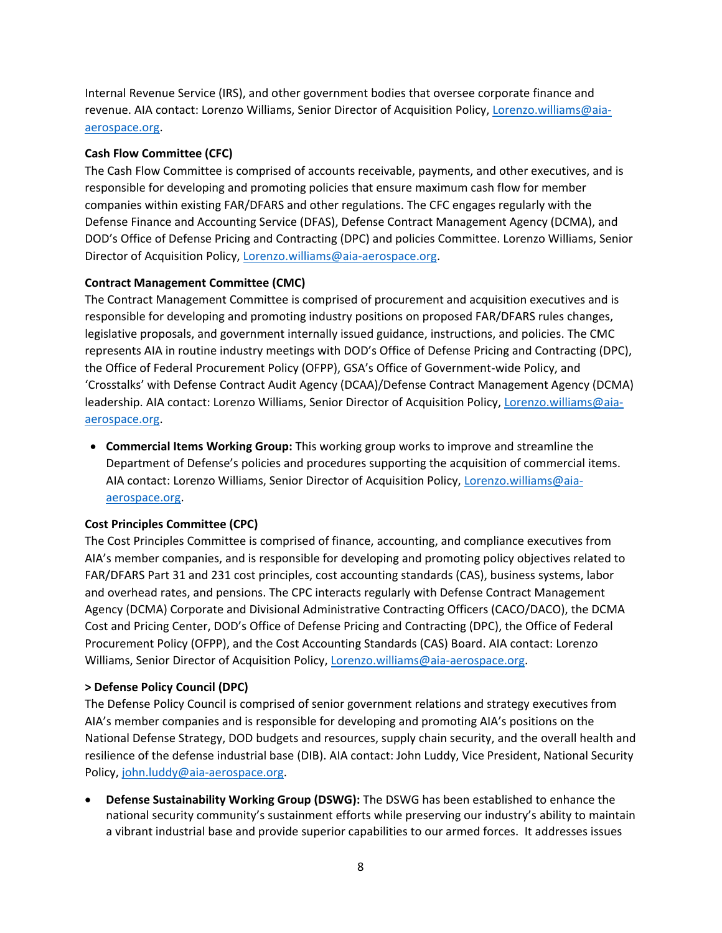Internal Revenue Service (IRS), and other government bodies that oversee corporate finance and revenue. AIA contact: Lorenzo Williams, Senior Director of Acquisition Policy, [Lorenzo.williams@aia](mailto:Lorenzo.williams@aia-aerospace.org)[aerospace.org.](mailto:Lorenzo.williams@aia-aerospace.org)

# **Cash Flow Committee (CFC)**

The Cash Flow Committee is comprised of accounts receivable, payments, and other executives, and is responsible for developing and promoting policies that ensure maximum cash flow for member companies within existing FAR/DFARS and other regulations. The CFC engages regularly with the Defense Finance and Accounting Service (DFAS), Defense Contract Management Agency (DCMA), and DOD's Office of Defense Pricing and Contracting (DPC) and policies Committee. Lorenzo Williams, Senior Director of Acquisition Policy, [Lorenzo.williams@aia-aerospace.org.](mailto:Lorenzo.williams@aia-aerospace.org)

# **Contract Management Committee (CMC)**

The Contract Management Committee is comprised of procurement and acquisition executives and is responsible for developing and promoting industry positions on proposed FAR/DFARS rules changes, legislative proposals, and government internally issued guidance, instructions, and policies. The CMC represents AIA in routine industry meetings with DOD's Office of Defense Pricing and Contracting (DPC), the Office of Federal Procurement Policy (OFPP), GSA's Office of Government-wide Policy, and 'Crosstalks' with Defense Contract Audit Agency (DCAA)/Defense Contract Management Agency (DCMA) leadership. AIA contact: Lorenzo Williams, Senior Director of Acquisition Policy, [Lorenzo.williams@aia](mailto:Lorenzo.williams@aia-aerospace.org)[aerospace.org.](mailto:Lorenzo.williams@aia-aerospace.org)

• **Commercial Items Working Group:** This working group works to improve and streamline the Department of Defense's policies and procedures supporting the acquisition of commercial items. AIA contact: Lorenzo Williams, Senior Director of Acquisition Policy, [Lorenzo.williams@aia](mailto:Lorenzo.williams@aia-aerospace.org)[aerospace.org.](mailto:Lorenzo.williams@aia-aerospace.org)

# **Cost Principles Committee (CPC)**

The Cost Principles Committee is comprised of finance, accounting, and compliance executives from AIA's member companies, and is responsible for developing and promoting policy objectives related to FAR/DFARS Part 31 and 231 cost principles, cost accounting standards (CAS), business systems, labor and overhead rates, and pensions. The CPC interacts regularly with Defense Contract Management Agency (DCMA) Corporate and Divisional Administrative Contracting Officers (CACO/DACO), the DCMA Cost and Pricing Center, DOD's Office of Defense Pricing and Contracting (DPC), the Office of Federal Procurement Policy (OFPP), and the Cost Accounting Standards (CAS) Board. AIA contact: Lorenzo Williams, Senior Director of Acquisition Policy[, Lorenzo.williams@aia-aerospace.org.](mailto:Lorenzo.williams@aia-aerospace.org)

# **> Defense Policy Council (DPC)**

The Defense Policy Council is comprised of senior government relations and strategy executives from AIA's member companies and is responsible for developing and promoting AIA's positions on the National Defense Strategy, DOD budgets and resources, supply chain security, and the overall health and resilience of the defense industrial base (DIB). AIA contact: John Luddy, Vice President, National Security Policy, [john.luddy@aia-aerospace.org.](mailto:john.luddy@aia-aerospace.org)

• **Defense Sustainability Working Group (DSWG):** The DSWG has been established to enhance the national security community's sustainment efforts while preserving our industry's ability to maintain a vibrant industrial base and provide superior capabilities to our armed forces. It addresses issues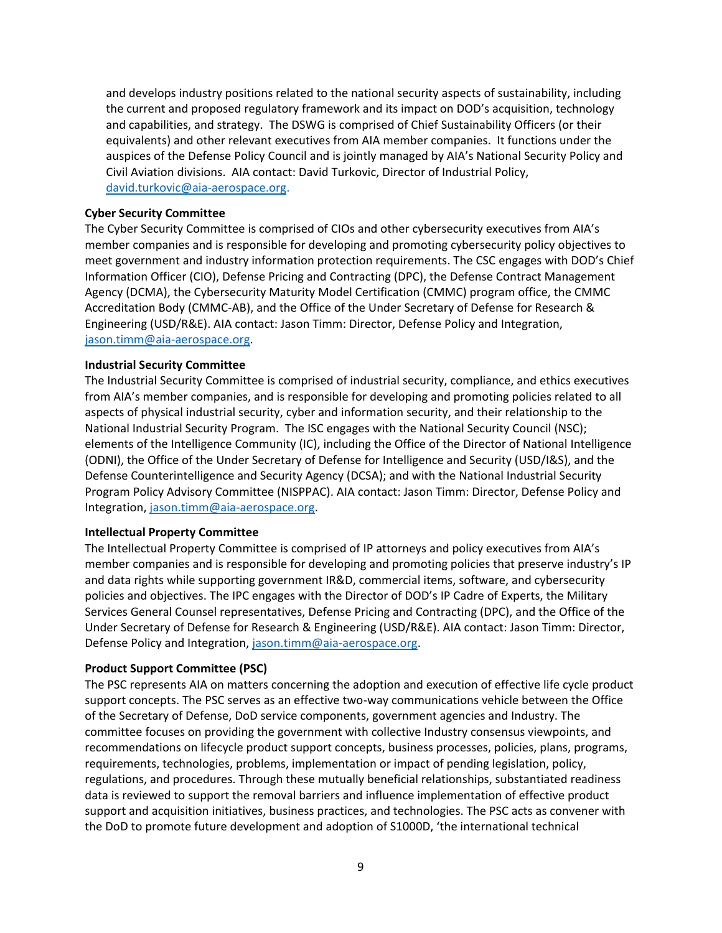and develops industry positions related to the national security aspects of sustainability, including the current and proposed regulatory framework and its impact on DOD's acquisition, technology and capabilities, and strategy. The DSWG is comprised of Chief Sustainability Officers (or their equivalents) and other relevant executives from AIA member companies. It functions under the auspices of the Defense Policy Council and is jointly managed by AIA's National Security Policy and Civil Aviation divisions. AIA contact: David Turkovic, Director of Industrial Policy, [david.turkovic@aia-aerospace.org.](mailto:david.turkovic@aia-aerospace.org)

#### **Cyber Security Committee**

The Cyber Security Committee is comprised of CIOs and other cybersecurity executives from AIA's member companies and is responsible for developing and promoting cybersecurity policy objectives to meet government and industry information protection requirements. The CSC engages with DOD's Chief Information Officer (CIO), Defense Pricing and Contracting (DPC), the Defense Contract Management Agency (DCMA), the Cybersecurity Maturity Model Certification (CMMC) program office, the CMMC Accreditation Body (CMMC-AB), and the Office of the Under Secretary of Defense for Research & Engineering (USD/R&E). AIA contact: Jason Timm: Director, Defense Policy and Integration, [jason.timm@aia-aerospace.org.](mailto:jason.timm@aia-aerospace.org)

#### **Industrial Security Committee**

The Industrial Security Committee is comprised of industrial security, compliance, and ethics executives from AIA's member companies, and is responsible for developing and promoting policies related to all aspects of physical industrial security, cyber and information security, and their relationship to the National Industrial Security Program. The ISC engages with the National Security Council (NSC); elements of the Intelligence Community (IC), including the Office of the Director of National Intelligence (ODNI), the Office of the Under Secretary of Defense for Intelligence and Security (USD/I&S), and the Defense Counterintelligence and Security Agency (DCSA); and with the National Industrial Security Program Policy Advisory Committee (NISPPAC). AIA contact: Jason Timm: Director, Defense Policy and Integration, [jason.timm@aia-aerospace.org.](mailto:jason.timm@aia-aerospace.org)

#### **Intellectual Property Committee**

The Intellectual Property Committee is comprised of IP attorneys and policy executives from AIA's member companies and is responsible for developing and promoting policies that preserve industry's IP and data rights while supporting government IR&D, commercial items, software, and cybersecurity policies and objectives. The IPC engages with the Director of DOD's IP Cadre of Experts, the Military Services General Counsel representatives, Defense Pricing and Contracting (DPC), and the Office of the Under Secretary of Defense for Research & Engineering (USD/R&E). AIA contact: Jason Timm: Director, Defense Policy and Integration, [jason.timm@aia-aerospace.org.](mailto:jason.timm@aia-aerospace.org)

# **Product Support Committee (PSC)**

The PSC represents AIA on matters concerning the adoption and execution of effective life cycle product support concepts. The PSC serves as an effective two-way communications vehicle between the Office of the Secretary of Defense, DoD service components, government agencies and Industry. The committee focuses on providing the government with collective Industry consensus viewpoints, and recommendations on lifecycle product support concepts, business processes, policies, plans, programs, requirements, technologies, problems, implementation or impact of pending legislation, policy, regulations, and procedures. Through these mutually beneficial relationships, substantiated readiness data is reviewed to support the removal barriers and influence implementation of effective product support and acquisition initiatives, business practices, and technologies. The PSC acts as convener with the DoD to promote future development and adoption of S1000D, 'the international technical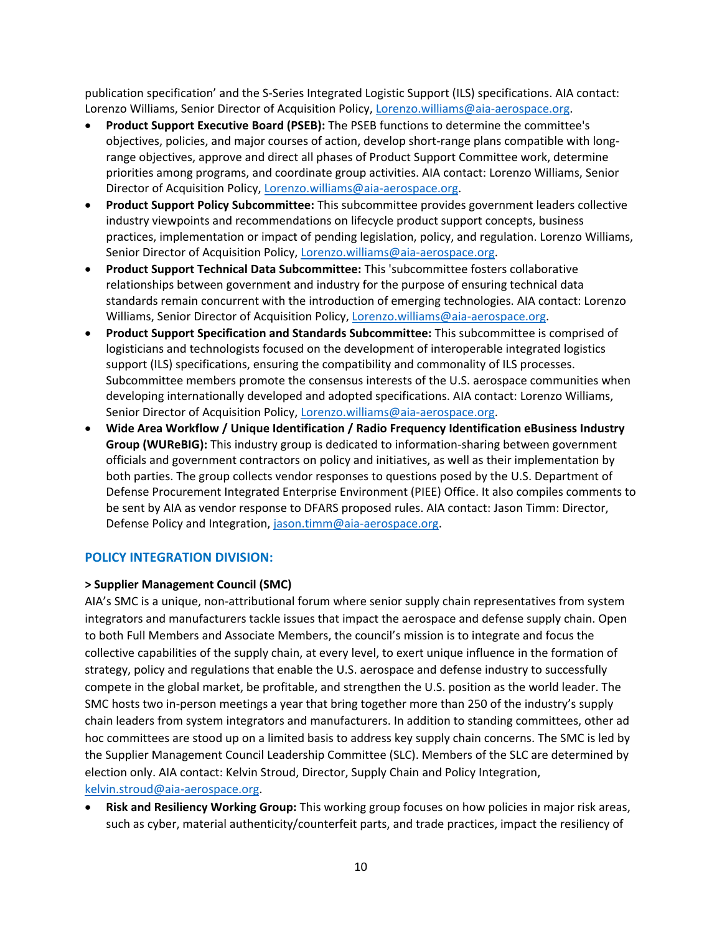publication specification' and the S-Series Integrated Logistic Support (ILS) specifications. AIA contact: Lorenzo Williams, Senior Director of Acquisition Policy, [Lorenzo.williams@aia-aerospace.org.](mailto:Lorenzo.williams@aia-aerospace.org)

- **Product Support Executive Board (PSEB):** The PSEB functions to determine the committee's objectives, policies, and major courses of action, develop short-range plans compatible with longrange objectives, approve and direct all phases of Product Support Committee work, determine priorities among programs, and coordinate group activities. AIA contact: Lorenzo Williams, Senior Director of Acquisition Policy, [Lorenzo.williams@aia-aerospace.org.](mailto:Lorenzo.williams@aia-aerospace.org)
- **Product Support Policy Subcommittee:** This subcommittee provides government leaders collective industry viewpoints and recommendations on lifecycle product support concepts, business practices, implementation or impact of pending legislation, policy, and regulation. Lorenzo Williams, Senior Director of Acquisition Policy, [Lorenzo.williams@aia-aerospace.org.](mailto:Lorenzo.williams@aia-aerospace.org)
- **Product Support Technical Data Subcommittee:** This 'subcommittee fosters collaborative relationships between government and industry for the purpose of ensuring technical data standards remain concurrent with the introduction of emerging technologies. AIA contact: Lorenzo Williams, Senior Director of Acquisition Policy[, Lorenzo.williams@aia-aerospace.org.](mailto:Lorenzo.williams@aia-aerospace.org)
- **Product Support Specification and Standards Subcommittee:** This subcommittee is comprised of logisticians and technologists focused on the development of interoperable integrated logistics support (ILS) specifications, ensuring the compatibility and commonality of ILS processes. Subcommittee members promote the consensus interests of the U.S. aerospace communities when developing internationally developed and adopted specifications. AIA contact: Lorenzo Williams, Senior Director of Acquisition Policy, [Lorenzo.williams@aia-aerospace.org.](mailto:Lorenzo.williams@aia-aerospace.org)
- **Wide Area Workflow / Unique Identification / Radio Frequency Identification eBusiness Industry Group (WUReBIG):** This industry group is dedicated to information-sharing between government officials and government contractors on policy and initiatives, as well as their implementation by both parties. The group collects vendor responses to questions posed by the U.S. Department of Defense Procurement Integrated Enterprise Environment (PIEE) Office. It also compiles comments to be sent by AIA as vendor response to DFARS proposed rules. AIA contact: Jason Timm: Director, Defense Policy and Integration, [jason.timm@aia-aerospace.org.](mailto:jason.timm@aia-aerospace.org)

# **POLICY INTEGRATION DIVISION:**

# **> Supplier Management Council (SMC)**

AIA's SMC is a unique, non-attributional forum where senior supply chain representatives from system integrators and manufacturers tackle issues that impact the aerospace and defense supply chain. Open to both Full Members and Associate Members, the council's mission is to integrate and focus the collective capabilities of the supply chain, at every level, to exert unique influence in the formation of strategy, policy and regulations that enable the U.S. aerospace and defense industry to successfully compete in the global market, be profitable, and strengthen the U.S. position as the world leader. The SMC hosts two in-person meetings a year that bring together more than 250 of the industry's supply chain leaders from system integrators and manufacturers. In addition to standing committees, other ad hoc committees are stood up on a limited basis to address key supply chain concerns. The SMC is led by the Supplier Management Council Leadership Committee (SLC). Members of the SLC are determined by election only. AIA contact: Kelvin Stroud, Director, Supply Chain and Policy Integration, [kelvin.stroud@aia-aerospace.org.](mailto:kelvin.stroud@aia-aerospace.org)

• **Risk and Resiliency Working Group:** This working group focuses on how policies in major risk areas, such as cyber, material authenticity/counterfeit parts, and trade practices, impact the resiliency of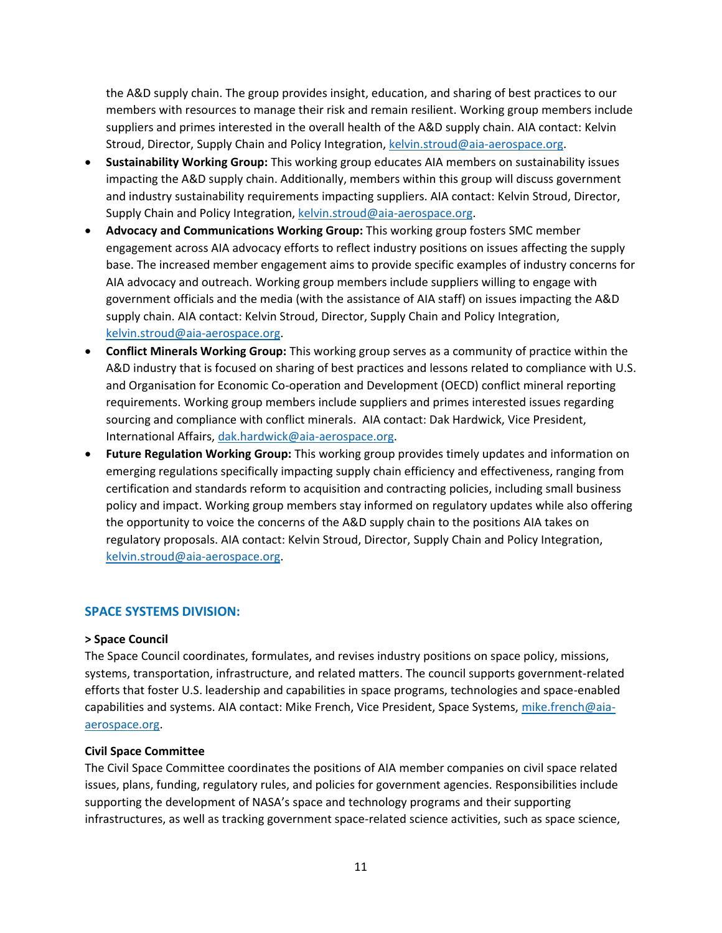the A&D supply chain. The group provides insight, education, and sharing of best practices to our members with resources to manage their risk and remain resilient. Working group members include suppliers and primes interested in the overall health of the A&D supply chain. AIA contact: Kelvin Stroud, Director, Supply Chain and Policy Integration, [kelvin.stroud@aia-aerospace.org.](mailto:kelvin.stroud@aia-aerospace.org)

- **Sustainability Working Group:** This working group educates AIA members on sustainability issues impacting the A&D supply chain. Additionally, members within this group will discuss government and industry sustainability requirements impacting suppliers. AIA contact: Kelvin Stroud, Director, Supply Chain and Policy Integration, [kelvin.stroud@aia-aerospace.org.](mailto:kelvin.stroud@aia-aerospace.org)
- **Advocacy and Communications Working Group:** This working group fosters SMC member engagement across AIA advocacy efforts to reflect industry positions on issues affecting the supply base. The increased member engagement aims to provide specific examples of industry concerns for AIA advocacy and outreach. Working group members include suppliers willing to engage with government officials and the media (with the assistance of AIA staff) on issues impacting the A&D supply chain. AIA contact: Kelvin Stroud, Director, Supply Chain and Policy Integration, [kelvin.stroud@aia-aerospace.org.](mailto:kelvin.stroud@aia-aerospace.org)
- **Conflict Minerals Working Group:** This working group serves as a community of practice within the A&D industry that is focused on sharing of best practices and lessons related to compliance with U.S. and Organisation for Economic Co-operation and Development (OECD) conflict mineral reporting requirements. Working group members include suppliers and primes interested issues regarding sourcing and compliance with conflict minerals. AIA contact: Dak Hardwick, Vice President, International Affairs, [dak.hardwick@aia-aerospace.org.](mailto:dak.hardwick@aia-aerospace.org)
- **Future Regulation Working Group:** This working group provides timely updates and information on emerging regulations specifically impacting supply chain efficiency and effectiveness, ranging from certification and standards reform to acquisition and contracting policies, including small business policy and impact. Working group members stay informed on regulatory updates while also offering the opportunity to voice the concerns of the A&D supply chain to the positions AIA takes on regulatory proposals. AIA contact: Kelvin Stroud, Director, Supply Chain and Policy Integration, [kelvin.stroud@aia-aerospace.org.](mailto:kelvin.stroud@aia-aerospace.org)

# **SPACE SYSTEMS DIVISION:**

# **> Space Council**

The Space Council coordinates, formulates, and revises industry positions on space policy, missions, systems, transportation, infrastructure, and related matters. The council supports government-related efforts that foster U.S. leadership and capabilities in space programs, technologies and space-enabled capabilities and systems. AIA contact: Mike French, Vice President, Space Systems, [mike.french@aia](mailto:mike.french@aia-aerospace.org)[aerospace.org.](mailto:mike.french@aia-aerospace.org)

#### **Civil Space Committee**

The Civil Space Committee coordinates the positions of AIA member companies on civil space related issues, plans, funding, regulatory rules, and policies for government agencies. Responsibilities include supporting the development of NASA's space and technology programs and their supporting infrastructures, as well as tracking government space-related science activities, such as space science,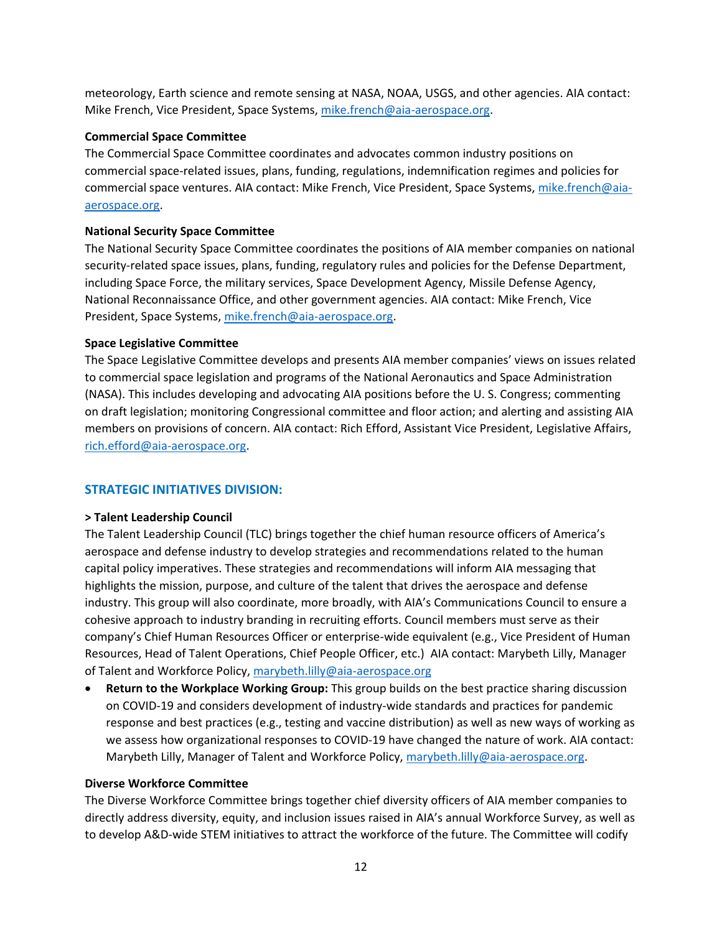meteorology, Earth science and remote sensing at NASA, NOAA, USGS, and other agencies. AIA contact: Mike French, Vice President, Space Systems, [mike.french@aia-aerospace.org.](mailto:mike.french@aia-aerospace.org)

# **Commercial Space Committee**

The Commercial Space Committee coordinates and advocates common industry positions on commercial space-related issues, plans, funding, regulations, indemnification regimes and policies for commercial space ventures. AIA contact: Mike French, Vice President, Space Systems, [mike.french@aia](mailto:mike.french@aia-aerospace.org)[aerospace.org.](mailto:mike.french@aia-aerospace.org)

# **National Security Space Committee**

The National Security Space Committee coordinates the positions of AIA member companies on national security-related space issues, plans, funding, regulatory rules and policies for the Defense Department, including Space Force, the military services, Space Development Agency, Missile Defense Agency, National Reconnaissance Office, and other government agencies. AIA contact: Mike French, Vice President, Space Systems, [mike.french@aia-aerospace.org.](mailto:mike.french@aia-aerospace.org)

# **Space Legislative Committee**

The Space Legislative Committee develops and presents AIA member companies' views on issues related to commercial space legislation and programs of the National Aeronautics and Space Administration (NASA). This includes developing and advocating AIA positions before the U. S. Congress; commenting on draft legislation; monitoring Congressional committee and floor action; and alerting and assisting AIA members on provisions of concern. AIA contact: Rich Efford, Assistant Vice President, Legislative Affairs, [rich.efford@aia-aerospace.org.](mailto:rich.efford@aia-aerospace.org)

# **STRATEGIC INITIATIVES DIVISION:**

# **> Talent Leadership Council**

The Talent Leadership Council (TLC) brings together the chief human resource officers of America's aerospace and defense industry to develop strategies and recommendations related to the human capital policy imperatives. These strategies and recommendations will inform AIA messaging that highlights the mission, purpose, and culture of the talent that drives the aerospace and defense industry. This group will also coordinate, more broadly, with AIA's Communications Council to ensure a cohesive approach to industry branding in recruiting efforts. Council members must serve as their company's Chief Human Resources Officer or enterprise-wide equivalent (e.g., Vice President of Human Resources, Head of Talent Operations, Chief People Officer, etc.) AIA contact: Marybeth Lilly, Manager of Talent and Workforce Policy, [marybeth.lilly@aia-aerospace.org](mailto:marybeth.lilly@aia-aerospace.org)

• **Return to the Workplace Working Group:** This group builds on the best practice sharing discussion on COVID‐19 and considers development of industry‐wide standards and practices for pandemic response and best practices (e.g., testing and vaccine distribution) as well as new ways of working as we assess how organizational responses to COVID‐19 have changed the nature of work. AIA contact: Marybeth Lilly, Manager of Talent and Workforce Policy[, marybeth.lilly@aia-aerospace.org.](mailto:marybeth.lilly@aia-aerospace.org)

# **Diverse Workforce Committee**

The Diverse Workforce Committee brings together chief diversity officers of AIA member companies to directly address diversity, equity, and inclusion issues raised in AIA's annual Workforce Survey, as well as to develop A&D-wide STEM initiatives to attract the workforce of the future. The Committee will codify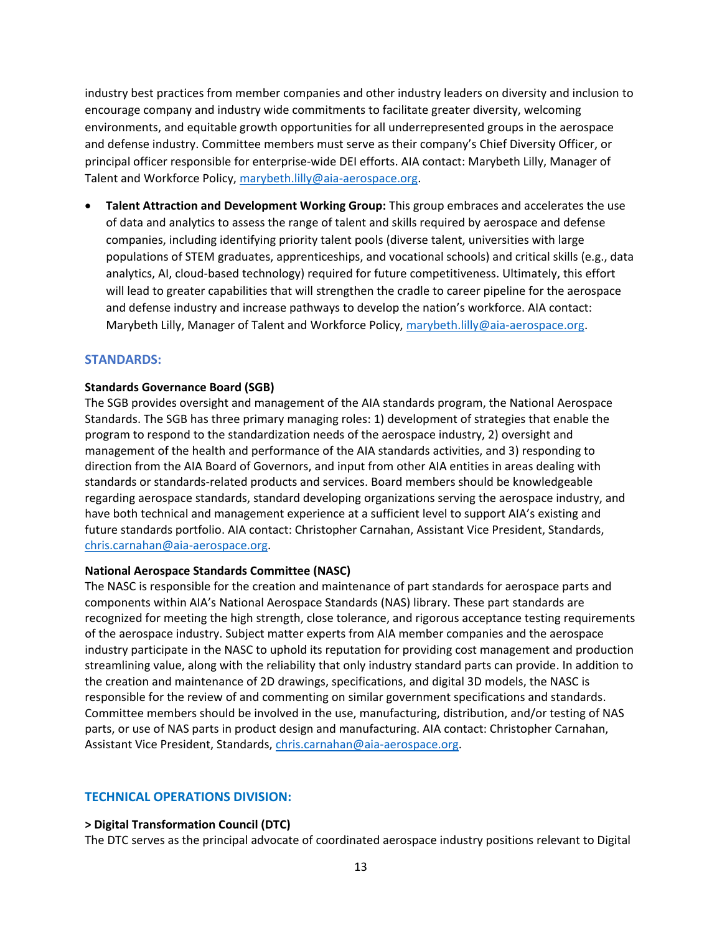industry best practices from member companies and other industry leaders on diversity and inclusion to encourage company and industry wide commitments to facilitate greater diversity, welcoming environments, and equitable growth opportunities for all underrepresented groups in the aerospace and defense industry. Committee members must serve as their company's Chief Diversity Officer, or principal officer responsible for enterprise-wide DEI efforts. AIA contact: Marybeth Lilly, Manager of Talent and Workforce Policy, [marybeth.lilly@aia-aerospace.org.](mailto:marybeth.lilly@aia-aerospace.org)

• **Talent Attraction and Development Working Group:** This group embraces and accelerates the use of data and analytics to assess the range of talent and skills required by aerospace and defense companies, including identifying priority talent pools (diverse talent, universities with large populations of STEM graduates, apprenticeships, and vocational schools) and critical skills (e.g., data analytics, AI, cloud‐based technology) required for future competitiveness. Ultimately, this effort will lead to greater capabilities that will strengthen the cradle to career pipeline for the aerospace and defense industry and increase pathways to develop the nation's workforce. AIA contact: Marybeth Lilly, Manager of Talent and Workforce Policy[, marybeth.lilly@aia-aerospace.org.](mailto:marybeth.lilly@aia-aerospace.org)

# **STANDARDS:**

#### **Standards Governance Board (SGB)**

The SGB provides oversight and management of the AIA standards program, the National Aerospace Standards. The SGB has three primary managing roles: 1) development of strategies that enable the program to respond to the standardization needs of the aerospace industry, 2) oversight and management of the health and performance of the AIA standards activities, and 3) responding to direction from the AIA Board of Governors, and input from other AIA entities in areas dealing with standards or standards-related products and services. Board members should be knowledgeable regarding aerospace standards, standard developing organizations serving the aerospace industry, and have both technical and management experience at a sufficient level to support AIA's existing and future standards portfolio. AIA contact: Christopher Carnahan, Assistant Vice President, Standards, [chris.carnahan@aia-aerospace.org.](mailto:chris.carnahan@aia-aerospace.org)

#### **National Aerospace Standards Committee (NASC)**

The NASC is responsible for the creation and maintenance of part standards for aerospace parts and components within AIA's [National Aerospace Standards \(NAS\) library. These part](https://www.aia-aerospace.org/standards/) standards are recognized for meeting the high strength, close tolerance, and rigorous acceptance testing requirements of the aerospace industry. Subject matter experts from AIA member companies and the aerospace industry participate in the NASC to uphold its reputation for providing cost management and production streamlining value, along with the reliability that only industry standard parts can provide. In addition to the creation and maintenance of 2D drawings, specifications, and digital 3D models, the NASC is responsible for the review of and commenting on similar government specifications and standards. Committee members should be involved in the use, manufacturing, distribution, and/or testing of NAS parts, or use of NAS parts in product design and manufacturing. AIA contact: Christopher Carnahan, Assistant Vice President, Standards, [chris.carnahan@aia-aerospace.org.](mailto:chris.carnahan@aia-aerospace.org)

#### **TECHNICAL OPERATIONS DIVISION:**

#### **> Digital Transformation Council (DTC)**

The DTC serves as the principal advocate of coordinated aerospace industry positions relevant to Digital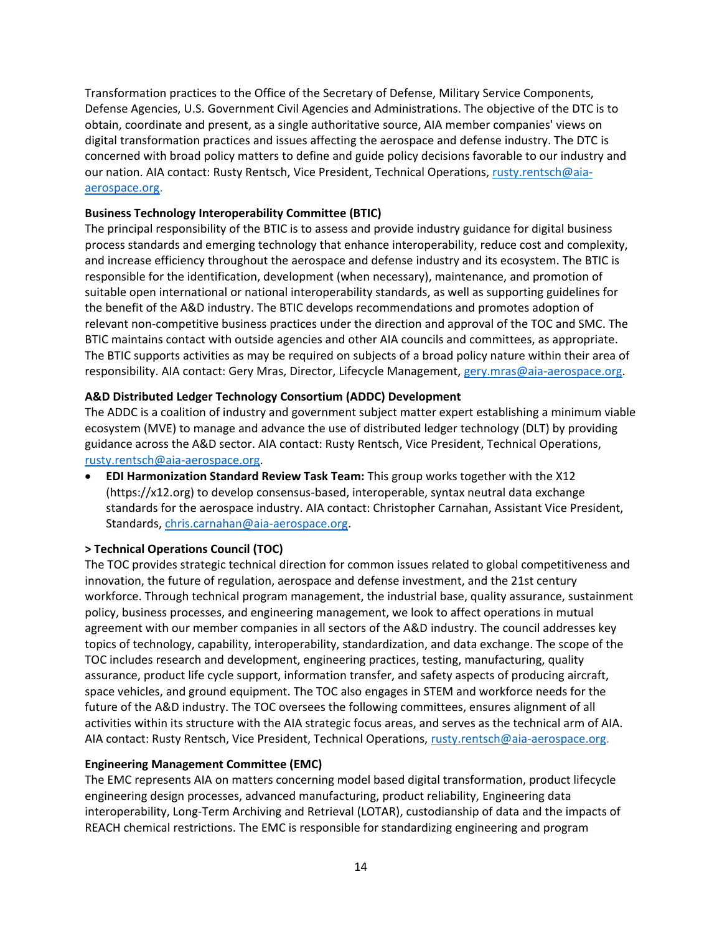Transformation practices to the Office of the Secretary of Defense, Military Service Components, Defense Agencies, U.S. Government Civil Agencies and Administrations. The objective of the DTC is to obtain, coordinate and present, as a single authoritative source, AIA member companies' views on digital transformation practices and issues affecting the aerospace and defense industry. The DTC is concerned with broad policy matters to define and guide policy decisions favorable to our industry and our nation. AIA contact: Rusty Rentsch, Vice President, Technical Operations[, rusty.rentsch@aia](mailto:rusty.rentsch@aia-aerospace.org)[aerospace.org.](mailto:rusty.rentsch@aia-aerospace.org)

# **Business Technology Interoperability Committee (BTIC)**

The principal responsibility of the BTIC is to assess and provide industry guidance for digital business process standards and emerging technology that enhance interoperability, reduce cost and complexity, and increase efficiency throughout the aerospace and defense industry and its ecosystem. The BTIC is responsible for the identification, development (when necessary), maintenance, and promotion of suitable open international or national interoperability standards, as well as supporting guidelines for the benefit of the A&D industry. The BTIC develops recommendations and promotes adoption of relevant non-competitive business practices under the direction and approval of the TOC and SMC. The BTIC maintains contact with outside agencies and other AIA councils and committees, as appropriate. The BTIC supports activities as may be required on subjects of a broad policy nature within their area of responsibility. AIA contact: Gery Mras, Director, Lifecycle Management[, gery.mras@aia-aerospace.org.](mailto:gery.mras@aia-aerospace.org)

# **A&D Distributed Ledger Technology Consortium (ADDC) Development**

The ADDC is a coalition of industry and government subject matter expert establishing a minimum viable ecosystem (MVE) to manage and advance the use of distributed ledger technology (DLT) by providing guidance across the A&D sector. AIA contact: Rusty Rentsch, Vice President, Technical Operations, [rusty.rentsch@aia-aerospace.org.](mailto:rusty.rentsch@aia-aerospace.org)

• **EDI Harmonization Standard Review Task Team:** This group works together with the X12 (https://x12.org) to develop consensus-based, interoperable, syntax neutral data exchange standards for the aerospace industry. AIA contact: Christopher Carnahan, Assistant Vice President, Standards, [chris.carnahan@aia-aerospace.org.](mailto:chris.carnahan@aia-aerospace.org)

# **> Technical Operations Council (TOC)**

The TOC provides strategic technical direction for common issues related to global competitiveness and innovation, the future of regulation, aerospace and defense investment, and the 21st century workforce. Through technical program management, the industrial base, quality assurance, sustainment policy, business processes, and engineering management, we look to affect operations in mutual agreement with our member companies in all sectors of the A&D industry. The council addresses key topics of technology, capability, interoperability, standardization, and data exchange. The scope of the TOC includes research and development, engineering practices, testing, manufacturing, quality assurance, product life cycle support, information transfer, and safety aspects of producing aircraft, space vehicles, and ground equipment. The TOC also engages in STEM and workforce needs for the future of the A&D industry. The TOC oversees the following committees, ensures alignment of all activities within its structure with the AIA strategic focus areas, and serves as the technical arm of AIA. AIA contact: Rusty Rentsch, Vice President, Technical Operations, [rusty.rentsch@aia-aerospace.org.](mailto:rusty.rentsch@aia-aerospace.org)

# **Engineering Management Committee (EMC)**

The EMC represents AIA on matters concerning model based digital transformation, product lifecycle engineering design processes, advanced manufacturing, product reliability, Engineering data interoperability, Long-Term Archiving and Retrieval (LOTAR), custodianship of data and the impacts of REACH chemical restrictions. The EMC is responsible for standardizing engineering and program